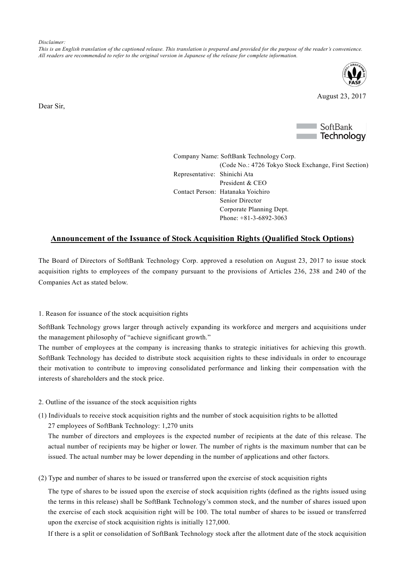*Disclaimer:*

*This is an English translation of the captioned release. This translation is prepared and provided for the purpose of the reader's convenience. All readers are recommended to refer to the original version in Japanese of the release for complete information.*



August 23, 2017

Dear Sir,



Company Name: SoftBank Technology Corp. (Code No.: 4726 Tokyo Stock Exchange, First Section) Representative: Shinichi Ata President & CEO Contact Person: Hatanaka Yoichiro Senior Director Corporate Planning Dept. Phone: +81-3-6892-3063

## **Announcement of the Issuance of Stock Acquisition Rights (Qualified Stock Options)**

The Board of Directors of SoftBank Technology Corp. approved a resolution on August 23, 2017 to issue stock acquisition rights to employees of the company pursuant to the provisions of Articles 236, 238 and 240 of the Companies Act as stated below.

## 1. Reason for issuance of the stock acquisition rights

SoftBank Technology grows larger through actively expanding its workforce and mergers and acquisitions under the management philosophy of "achieve significant growth."

The number of employees at the company is increasing thanks to strategic initiatives for achieving this growth. SoftBank Technology has decided to distribute stock acquisition rights to these individuals in order to encourage their motivation to contribute to improving consolidated performance and linking their compensation with the interests of shareholders and the stock price.

- 2. Outline of the issuance of the stock acquisition rights
- (1) Individuals to receive stock acquisition rights and the number of stock acquisition rights to be allotted 27 employees of SoftBank Technology: 1,270 units

The number of directors and employees is the expected number of recipients at the date of this release. The actual number of recipients may be higher or lower. The number of rights is the maximum number that can be issued. The actual number may be lower depending in the number of applications and other factors.

(2) Type and number of shares to be issued or transferred upon the exercise of stock acquisition rights

The type of shares to be issued upon the exercise of stock acquisition rights (defined as the rights issued using the terms in this release) shall be SoftBank Technology's common stock, and the number of shares issued upon the exercise of each stock acquisition right will be 100. The total number of shares to be issued or transferred upon the exercise of stock acquisition rights is initially 127,000.

If there is a split or consolidation of SoftBank Technology stock after the allotment date of the stock acquisition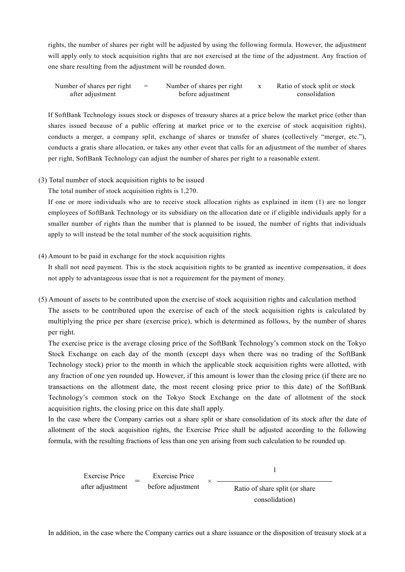rights, the number of shares per right will be adjusted by using the following formula. However, the adjustment will apply only to stock acquisition rights that are not exercised at the time of the adjustment. Any fraction of one share resulting from the adjustment will be rounded down.

| Number of shares per right $=$ | Number of shares per right x | Ratio of stock split or stock |
|--------------------------------|------------------------------|-------------------------------|
| after adjustment               | before adjustment            | consolidation                 |

If SoftBank Technology issues stock or disposes of treasury shares at a price below the market price (other than shares issued because of a public offering at market price or to the exercise of stock acquisition rights), conducts a merger, a company split, exchange of shares or transfer of shares (collectively "merger, etc."), conducts a gratis share allocation, or takes any other event that calls for an adjustment of the number of shares per right, SoftBank Technology can adjust the number of shares per right to a reasonable extent.

## (3) Total number of stock acquisition rights to be issued

The total number of stock acquisition rights is 1,270.

If one or more individuals who are to receive stock allocation rights as explained in item (1) are no longer employees of SoftBank Technology or its subsidiary on the allocation date or if eligible individuals apply for a smaller number of rights than the number that is planned to be issued, the number of rights that individuals apply to will instead be the total number of the stock acquisition rights.

## (4) Amount to be paid in exchange for the stock acquisition rights

It shall not need payment. This is the stock acquisition rights to be granted as incentive compensation, it does not apply to advantageous issue that is not a requirement for the payment of money.

(5) Amount of assets to be contributed upon the exercise of stock acquisition rights and calculation method The assets to be contributed upon the exercise of each of the stock acquisition rights is calculated by multiplying the price per share (exercise price), which is determined as follows, by the number of shares per right.

The exercise price is the average closing price of the SoftBank Technology's common stock on the Tokyo Stock Exchange on each day of the month (except days when there was no trading of the SoftBank Technology stock) prior to the month in which the applicable stock acquisition rights were allotted, with any fraction of one yen rounded up. However, if this amount is lower than the closing price (if there are no transactions on the allotment date, the most recent closing price prior to this date) of the SoftBank Technology's common stock on the Tokyo Stock Exchange on the date of allotment of the stock acquisition rights, the closing price on this date shall apply.

In the case where the Company carries out a share split or share consolidation of its stock after the date of allotment of the stock acquisition rights, the Exercise Price shall be adjusted according to the following formula, with the resulting fractions of less than one yen arising from such calculation to be rounded up.

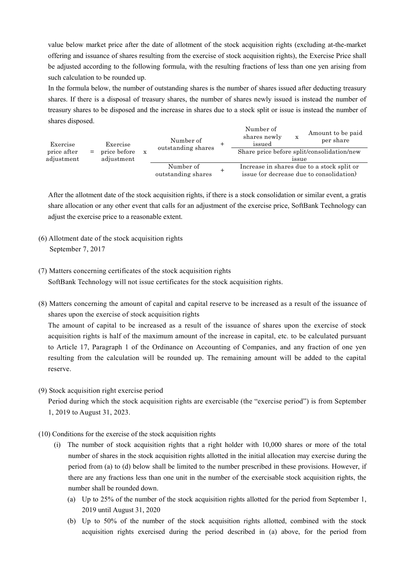value below market price after the date of allotment of the stock acquisition rights (excluding at-the-market offering and issuance of shares resulting from the exercise of stock acquisition rights), the Exercise Price shall be adjusted according to the following formula, with the resulting fractions of less than one yen arising from such calculation to be rounded up.

In the formula below, the number of outstanding shares is the number of shares issued after deducting treasury shares. If there is a disposal of treasury shares, the number of shares newly issued is instead the number of treasury shares to be disposed and the increase in shares due to a stock split or issue is instead the number of shares disposed.

| Exercise<br>price after |     | Exercise<br>price before<br>adjustment | Number of<br>outstanding shares |  | Number of<br>shares newly<br>issued        | х     | Amount to be paid<br>per share                                                         |
|-------------------------|-----|----------------------------------------|---------------------------------|--|--------------------------------------------|-------|----------------------------------------------------------------------------------------|
|                         | $=$ |                                        |                                 |  | Share price before split/consolidation/new |       |                                                                                        |
| adjustment              |     |                                        |                                 |  |                                            | issue |                                                                                        |
|                         |     |                                        | Number of<br>outstanding shares |  |                                            |       | Increase in shares due to a stock split or<br>issue (or decrease due to consolidation) |

After the allotment date of the stock acquisition rights, if there is a stock consolidation or similar event, a gratis share allocation or any other event that calls for an adjustment of the exercise price, SoftBank Technology can adjust the exercise price to a reasonable extent.

- (6) Allotment date of the stock acquisition rights September 7, 2017
- (7) Matters concerning certificates of the stock acquisition rights SoftBank Technology will not issue certificates for the stock acquisition rights.
- (8) Matters concerning the amount of capital and capital reserve to be increased as a result of the issuance of shares upon the exercise of stock acquisition rights

The amount of capital to be increased as a result of the issuance of shares upon the exercise of stock acquisition rights is half of the maximum amount of the increase in capital, etc. to be calculated pursuant to Article 17, Paragraph 1 of the Ordinance on Accounting of Companies, and any fraction of one yen resulting from the calculation will be rounded up. The remaining amount will be added to the capital reserve.

(9) Stock acquisition right exercise period

Period during which the stock acquisition rights are exercisable (the "exercise period") is from September 1, 2019 to August 31, 2023.

- (10) Conditions for the exercise of the stock acquisition rights
	- (i) The number of stock acquisition rights that a right holder with 10,000 shares or more of the total number of shares in the stock acquisition rights allotted in the initial allocation may exercise during the period from (a) to (d) below shall be limited to the number prescribed in these provisions. However, if there are any fractions less than one unit in the number of the exercisable stock acquisition rights, the number shall be rounded down.
		- (a) Up to 25% of the number of the stock acquisition rights allotted for the period from September 1, 2019 until August 31, 2020
		- (b) Up to 50% of the number of the stock acquisition rights allotted, combined with the stock acquisition rights exercised during the period described in (a) above, for the period from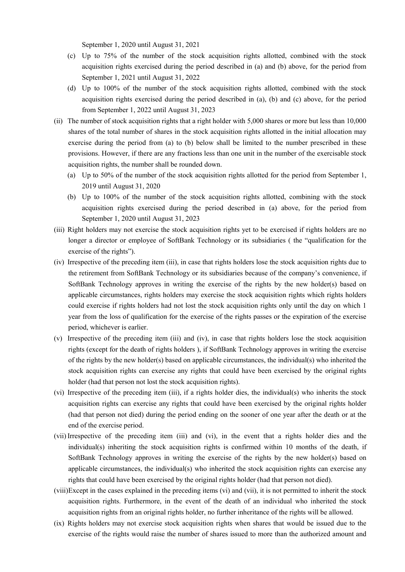September 1, 2020 until August 31, 2021

- (c) Up to 75% of the number of the stock acquisition rights allotted, combined with the stock acquisition rights exercised during the period described in (a) and (b) above, for the period from September 1, 2021 until August 31, 2022
- (d) Up to 100% of the number of the stock acquisition rights allotted, combined with the stock acquisition rights exercised during the period described in (a), (b) and (c) above, for the period from September 1, 2022 until August 31, 2023
- (ii) The number of stock acquisition rights that a right holder with 5,000 shares or more but less than 10,000 shares of the total number of shares in the stock acquisition rights allotted in the initial allocation may exercise during the period from (a) to (b) below shall be limited to the number prescribed in these provisions. However, if there are any fractions less than one unit in the number of the exercisable stock acquisition rights, the number shall be rounded down.
	- (a) Up to 50% of the number of the stock acquisition rights allotted for the period from September 1, 2019 until August 31, 2020
	- (b) Up to 100% of the number of the stock acquisition rights allotted, combining with the stock acquisition rights exercised during the period described in (a) above, for the period from September 1, 2020 until August 31, 2023
- (iii) Right holders may not exercise the stock acquisition rights yet to be exercised if rights holders are no longer a director or employee of SoftBank Technology or its subsidiaries ( the "qualification for the exercise of the rights").
- (iv) Irrespective of the preceding item (iii), in case that rights holders lose the stock acquisition rights due to the retirement from SoftBank Technology or its subsidiaries because of the company's convenience, if SoftBank Technology approves in writing the exercise of the rights by the new holder(s) based on applicable circumstances, rights holders may exercise the stock acquisition rights which rights holders could exercise if rights holders had not lost the stock acquisition rights only until the day on which 1 year from the loss of qualification for the exercise of the rights passes or the expiration of the exercise period, whichever is earlier.
- (v) Irrespective of the preceding item (iii) and (iv), in case that rights holders lose the stock acquisition rights (except for the death of rights holders ), if SoftBank Technology approves in writing the exercise of the rights by the new holder(s) based on applicable circumstances, the individual(s) who inherited the stock acquisition rights can exercise any rights that could have been exercised by the original rights holder (had that person not lost the stock acquisition rights).
- (vi) Irrespective of the preceding item (iii), if a rights holder dies, the individual(s) who inherits the stock acquisition rights can exercise any rights that could have been exercised by the original rights holder (had that person not died) during the period ending on the sooner of one year after the death or at the end of the exercise period.
- (vii) Irrespective of the preceding item (iii) and (vi), in the event that a rights holder dies and the individual(s) inheriting the stock acquisition rights is confirmed within 10 months of the death, if SoftBank Technology approves in writing the exercise of the rights by the new holder(s) based on applicable circumstances, the individual(s) who inherited the stock acquisition rights can exercise any rights that could have been exercised by the original rights holder (had that person not died).
- (viii)Except in the cases explained in the preceding items (vi) and (vii), it is not permitted to inherit the stock acquisition rights. Furthermore, in the event of the death of an individual who inherited the stock acquisition rights from an original rights holder, no further inheritance of the rights will be allowed.
- (ix) Rights holders may not exercise stock acquisition rights when shares that would be issued due to the exercise of the rights would raise the number of shares issued to more than the authorized amount and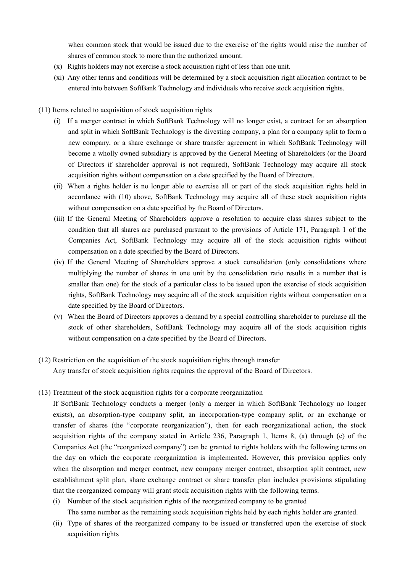when common stock that would be issued due to the exercise of the rights would raise the number of shares of common stock to more than the authorized amount.

- (x) Rights holders may not exercise a stock acquisition right of less than one unit.
- (xi) Any other terms and conditions will be determined by a stock acquisition right allocation contract to be entered into between SoftBank Technology and individuals who receive stock acquisition rights.
- (11) Items related to acquisition of stock acquisition rights
	- (i) If a merger contract in which SoftBank Technology will no longer exist, a contract for an absorption and split in which SoftBank Technology is the divesting company, a plan for a company split to form a new company, or a share exchange or share transfer agreement in which SoftBank Technology will become a wholly owned subsidiary is approved by the General Meeting of Shareholders (or the Board of Directors if shareholder approval is not required), SoftBank Technology may acquire all stock acquisition rights without compensation on a date specified by the Board of Directors.
	- (ii) When a rights holder is no longer able to exercise all or part of the stock acquisition rights held in accordance with (10) above, SoftBank Technology may acquire all of these stock acquisition rights without compensation on a date specified by the Board of Directors.
	- (iii) If the General Meeting of Shareholders approve a resolution to acquire class shares subject to the condition that all shares are purchased pursuant to the provisions of Article 171, Paragraph 1 of the Companies Act, SoftBank Technology may acquire all of the stock acquisition rights without compensation on a date specified by the Board of Directors.
	- (iv) If the General Meeting of Shareholders approve a stock consolidation (only consolidations where multiplying the number of shares in one unit by the consolidation ratio results in a number that is smaller than one) for the stock of a particular class to be issued upon the exercise of stock acquisition rights, SoftBank Technology may acquire all of the stock acquisition rights without compensation on a date specified by the Board of Directors.
	- (v) When the Board of Directors approves a demand by a special controlling shareholder to purchase all the stock of other shareholders, SoftBank Technology may acquire all of the stock acquisition rights without compensation on a date specified by the Board of Directors.
- (12) Restriction on the acquisition of the stock acquisition rights through transfer Any transfer of stock acquisition rights requires the approval of the Board of Directors.
- (13) Treatment of the stock acquisition rights for a corporate reorganization

If SoftBank Technology conducts a merger (only a merger in which SoftBank Technology no longer exists), an absorption-type company split, an incorporation-type company split, or an exchange or transfer of shares (the "corporate reorganization"), then for each reorganizational action, the stock acquisition rights of the company stated in Article 236, Paragraph 1, Items 8, (a) through (e) of the Companies Act (the "reorganized company") can be granted to rights holders with the following terms on the day on which the corporate reorganization is implemented. However, this provision applies only when the absorption and merger contract, new company merger contract, absorption split contract, new establishment split plan, share exchange contract or share transfer plan includes provisions stipulating that the reorganized company will grant stock acquisition rights with the following terms.

(i) Number of the stock acquisition rights of the reorganized company to be granted

The same number as the remaining stock acquisition rights held by each rights holder are granted.

(ii) Type of shares of the reorganized company to be issued or transferred upon the exercise of stock acquisition rights